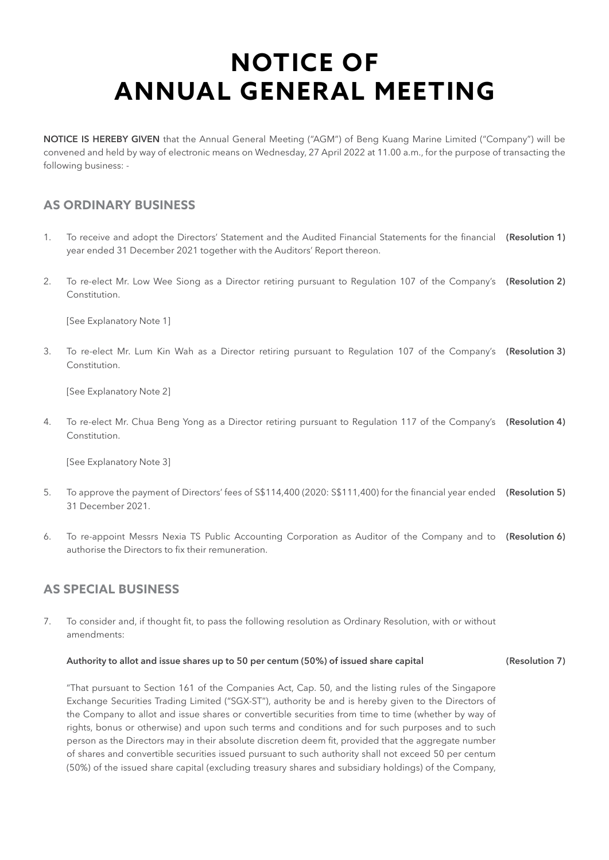**NOTICE IS HEREBY GIVEN** that the Annual General Meeting ("AGM") of Beng Kuang Marine Limited ("Company") will be convened and held by way of electronic means on Wednesday, 27 April 2022 at 11.00 a.m., for the purpose of transacting the following business: -

### **AS ORDINARY BUSINESS**

- 1. To receive and adopt the Directors' Statement and the Audited Financial Statements for the financial **(Resolution 1)** year ended 31 December 2021 together with the Auditors' Report thereon.
- 2. To re-elect Mr. Low Wee Siong as a Director retiring pursuant to Regulation 107 of the Company's **(Resolution 2)** Constitution.

[See Explanatory Note 1]

3. To re-elect Mr. Lum Kin Wah as a Director retiring pursuant to Regulation 107 of the Company's **(Resolution 3)** Constitution.

[See Explanatory Note 2]

4. To re-elect Mr. Chua Beng Yong as a Director retiring pursuant to Regulation 117 of the Company's **(Resolution 4)** Constitution.

[See Explanatory Note 3]

- 5. To approve the payment of Directors' fees of S\$114,400 (2020: S\$111,400) for the financial year ended **(Resolution 5)** 31 December 2021.
- 6. To re-appoint Messrs Nexia TS Public Accounting Corporation as Auditor of the Company and to **(Resolution 6)** authorise the Directors to fix their remuneration.

### **AS SPECIAL BUSINESS**

7. To consider and, if thought fit, to pass the following resolution as Ordinary Resolution, with or without amendments:

#### **Authority to allot and issue shares up to 50 per centum (50%) of issued share capital (Resolution 7)**

"That pursuant to Section 161 of the Companies Act, Cap. 50, and the listing rules of the Singapore Exchange Securities Trading Limited ("SGX-ST"), authority be and is hereby given to the Directors of the Company to allot and issue shares or convertible securities from time to time (whether by way of rights, bonus or otherwise) and upon such terms and conditions and for such purposes and to such person as the Directors may in their absolute discretion deem fit, provided that the aggregate number of shares and convertible securities issued pursuant to such authority shall not exceed 50 per centum (50%) of the issued share capital (excluding treasury shares and subsidiary holdings) of the Company,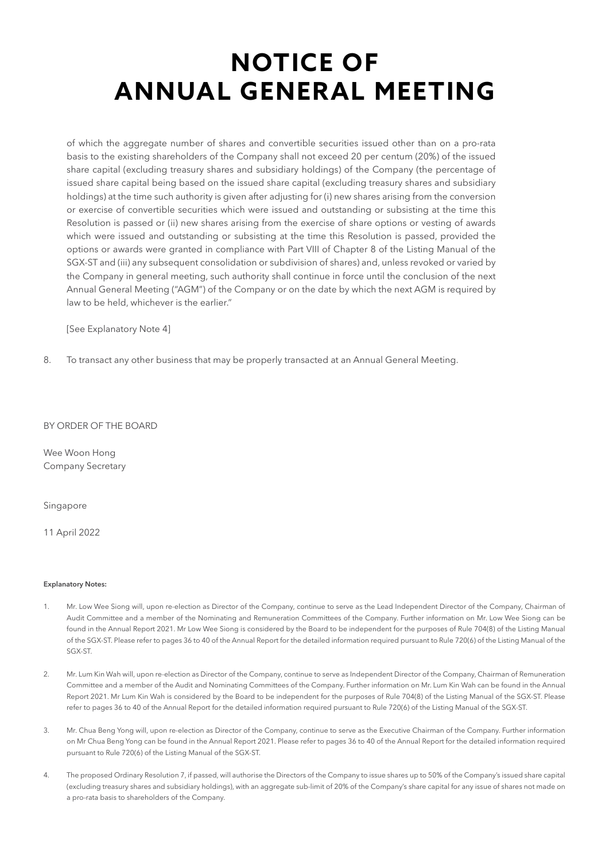of which the aggregate number of shares and convertible securities issued other than on a pro-rata basis to the existing shareholders of the Company shall not exceed 20 per centum (20%) of the issued share capital (excluding treasury shares and subsidiary holdings) of the Company (the percentage of issued share capital being based on the issued share capital (excluding treasury shares and subsidiary holdings) at the time such authority is given after adjusting for (i) new shares arising from the conversion or exercise of convertible securities which were issued and outstanding or subsisting at the time this Resolution is passed or (ii) new shares arising from the exercise of share options or vesting of awards which were issued and outstanding or subsisting at the time this Resolution is passed, provided the options or awards were granted in compliance with Part VIII of Chapter 8 of the Listing Manual of the SGX-ST and (iii) any subsequent consolidation or subdivision of shares) and, unless revoked or varied by the Company in general meeting, such authority shall continue in force until the conclusion of the next Annual General Meeting ("AGM") of the Company or on the date by which the next AGM is required by law to be held, whichever is the earlier."

[See Explanatory Note 4]

8. To transact any other business that may be properly transacted at an Annual General Meeting.

### BY ORDER OF THE BOARD

Wee Woon Hong Company Secretary

#### Singapore

11 April 2022

#### **Explanatory Notes:**

- 1. Mr. Low Wee Siong will, upon re-election as Director of the Company, continue to serve as the Lead Independent Director of the Company, Chairman of Audit Committee and a member of the Nominating and Remuneration Committees of the Company. Further information on Mr. Low Wee Siong can be found in the Annual Report 2021. Mr Low Wee Siong is considered by the Board to be independent for the purposes of Rule 704(8) of the Listing Manual of the SGX-ST. Please refer to pages 36 to 40 of the Annual Report for the detailed information required pursuant to Rule 720(6) of the Listing Manual of the SGX-ST.
- 2. Mr. Lum Kin Wah will, upon re-election as Director of the Company, continue to serve as Independent Director of the Company, Chairman of Remuneration Committee and a member of the Audit and Nominating Committees of the Company. Further information on Mr. Lum Kin Wah can be found in the Annual Report 2021. Mr Lum Kin Wah is considered by the Board to be independent for the purposes of Rule 704(8) of the Listing Manual of the SGX-ST. Please refer to pages 36 to 40 of the Annual Report for the detailed information required pursuant to Rule 720(6) of the Listing Manual of the SGX-ST.
- 3. Mr. Chua Beng Yong will, upon re-election as Director of the Company, continue to serve as the Executive Chairman of the Company. Further information on Mr Chua Beng Yong can be found in the Annual Report 2021. Please refer to pages 36 to 40 of the Annual Report for the detailed information required pursuant to Rule 720(6) of the Listing Manual of the SGX-ST.
- 4. The proposed Ordinary Resolution 7, if passed, will authorise the Directors of the Company to issue shares up to 50% of the Company's issued share capital (excluding treasury shares and subsidiary holdings), with an aggregate sub-limit of 20% of the Company's share capital for any issue of shares not made on a pro-rata basis to shareholders of the Company.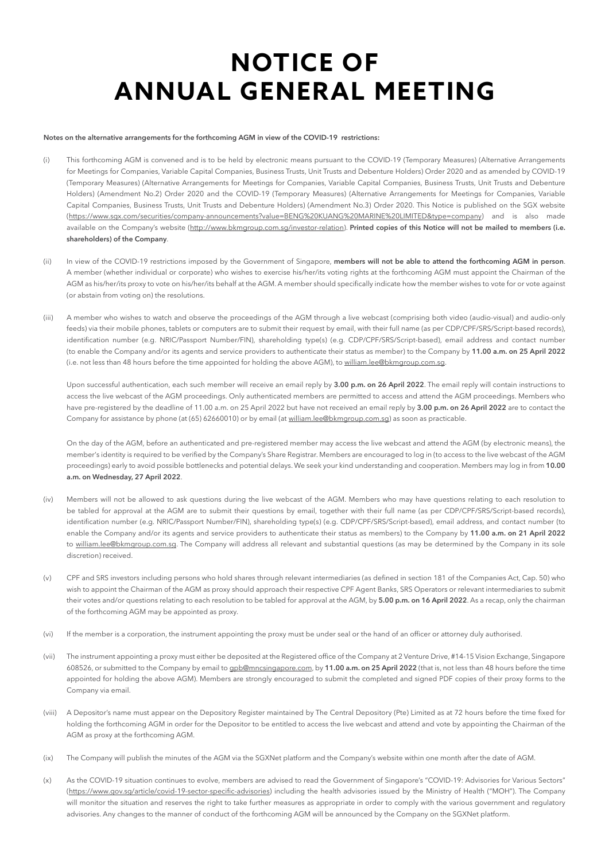#### **Notes on the alternative arrangements for the forthcoming AGM in view of the COVID-19 restrictions:**

- (i) This forthcoming AGM is convened and is to be held by electronic means pursuant to the COVID-19 (Temporary Measures) (Alternative Arrangements for Meetings for Companies, Variable Capital Companies, Business Trusts, Unit Trusts and Debenture Holders) Order 2020 and as amended by COVID-19 (Temporary Measures) (Alternative Arrangements for Meetings for Companies, Variable Capital Companies, Business Trusts, Unit Trusts and Debenture Holders) (Amendment No.2) Order 2020 and the COVID-19 (Temporary Measures) (Alternative Arrangements for Meetings for Companies, Variable Capital Companies, Business Trusts, Unit Trusts and Debenture Holders) (Amendment No.3) Order 2020. This Notice is published on the SGX website [\(https://www.sgx.com/securities/company-announcements?value=BENG%20KUANG%20MARINE%20LIMITED&type=company\)](https://www.sgx.com/securities/company-announcements?value=BENG%20KUANG%20MARINE%20LIMITED&type=company) and is also made available on the Company's website (<http://www.bkmgroup.com.sg/investor-relation>). Printed copies of this Notice will not be mailed to members (i.e. **shareholders) of the Company**.
- (ii) In view of the COVID-19 restrictions imposed by the Government of Singapore, **members will not be able to attend the forthcoming AGM in person**. A member (whether individual or corporate) who wishes to exercise his/her/its voting rights at the forthcoming AGM must appoint the Chairman of the AGM as his/her/its proxy to vote on his/her/its behalf at the AGM. A member should specifically indicate how the member wishes to vote for or vote against (or abstain from voting on) the resolutions.
- (iii) A member who wishes to watch and observe the proceedings of the AGM through a live webcast (comprising both video (audio-visual) and audio-only feeds) via their mobile phones, tablets or computers are to submit their request by email, with their full name (as per CDP/CPF/SRS/Script-based records), identification number (e.g. NRIC/Passport Number/FIN), shareholding type(s) (e.g. CDP/CPF/SRS/Script-based), email address and contact number (to enable the Company and/or its agents and service providers to authenticate their status as member) to the Company by **11.00 a.m. on 25 April 2022** (i.e. not less than 48 hours before the time appointed for holding the above AGM), to william.lee@bkmgroup.com.sg.

Upon successful authentication, each such member will receive an email reply by **3.00 p.m. on 26 April 2022**. The email reply will contain instructions to access the live webcast of the AGM proceedings. Only authenticated members are permitted to access and attend the AGM proceedings. Members who have pre-registered by the deadline of 11.00 a.m. on 25 April 2022 but have not received an email reply by **3.00 p.m. on 26 April 2022** are to contact the Company for assistance by phone (at (65) 62660010) or by email (at william.lee@bkmgroup.com.sg) as soon as practicable.

On the day of the AGM, before an authenticated and pre-registered member may access the live webcast and attend the AGM (by electronic means), the member's identity is required to be verified by the Company's Share Registrar. Members are encouraged to log in (to access to the live webcast of the AGM proceedings) early to avoid possible bottlenecks and potential delays. We seek your kind understanding and cooperation. Members may log in from **10.00 a.m. on Wednesday, 27 April 2022**.

- (iv) Members will not be allowed to ask questions during the live webcast of the AGM. Members who may have questions relating to each resolution to be tabled for approval at the AGM are to submit their questions by email, together with their full name (as per CDP/CPF/SRS/Script-based records), identification number (e.g. NRIC/Passport Number/FIN), shareholding type(s) (e.g. CDP/CPF/SRS/Script-based), email address, and contact number (to enable the Company and/or its agents and service providers to authenticate their status as members) to the Company by **11.00 a.m. on 21 April 2022** to william.lee@bkmgroup.com.sg. The Company will address all relevant and substantial questions (as may be determined by the Company in its sole discretion) received.
- (v) CPF and SRS investors including persons who hold shares through relevant intermediaries (as defined in section 181 of the Companies Act, Cap. 50) who wish to appoint the Chairman of the AGM as proxy should approach their respective CPF Agent Banks, SRS Operators or relevant intermediaries to submit their votes and/or questions relating to each resolution to be tabled for approval at the AGM, by **5.00 p.m. on 16 April 2022**. As a recap, only the chairman of the forthcoming AGM may be appointed as proxy.
- (vi) If the member is a corporation, the instrument appointing the proxy must be under seal or the hand of an officer or attorney duly authorised.
- (vii) The instrument appointing a proxy must either be deposited at the Registered office of the Company at 2 Venture Drive, #14-15 Vision Exchange, Singapore 608526, or submitted to the Company by email to gpb@mncsingapore.com, by **11.00 a.m. on 25 April 2022** (that is, not less than 48 hours before the time appointed for holding the above AGM). Members are strongly encouraged to submit the completed and signed PDF copies of their proxy forms to the Company via email.
- (viii) A Depositor's name must appear on the Depository Register maintained by The Central Depository (Pte) Limited as at 72 hours before the time fixed for holding the forthcoming AGM in order for the Depositor to be entitled to access the live webcast and attend and vote by appointing the Chairman of the AGM as proxy at the forthcoming AGM.
- (ix) The Company will publish the minutes of the AGM via the SGXNet platform and the Company's website within one month after the date of AGM.
- (x) As the COVID-19 situation continues to evolve, members are advised to read the Government of Singapore's "COVID-19: Advisories for Various Sectors" ([https://www.gov.sg/article/covid-19-sector-specific-advisories\)](https://www.gov.sg/article/covid-19-sector-specific-advisories) including the health advisories issued by the Ministry of Health ("MOH"). The Company will monitor the situation and reserves the right to take further measures as appropriate in order to comply with the various government and regulatory advisories. Any changes to the manner of conduct of the forthcoming AGM will be announced by the Company on the SGXNet platform.